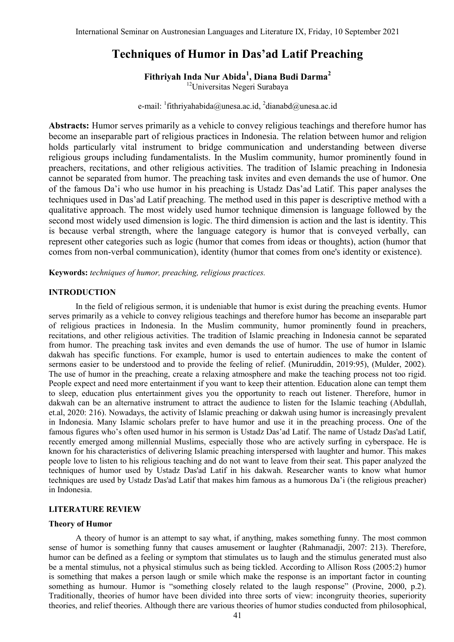# **Techniques of Humor in Das'ad Latif Preaching**

**Fithriyah Inda Nur Abida<sup>1</sup> , Diana Budi Darma<sup>2</sup>**

<sup>12</sup>Universitas Negeri Surabaya

e-mail:  $\frac{1}{1}$ [fithriyahabida@unesa.ac.id,](mailto:1fithriyahabida@unesa.ac.id)  $\frac{2}{1}$ [dianabd@unesa.ac.id](mailto:2dianabd@unesa.ac.id)

**Abstracts:** Humor serves primarily as a vehicle to convey religious teachings and therefore humor has become an inseparable part of religious practices in Indonesia. The relation between humor and religion holds particularly vital instrument to bridge communication and understanding between diverse religious groups including fundamentalists. In the Muslim community, humor prominently found in preachers, recitations, and other religious activities. The tradition of Islamic preaching in Indonesia cannot be separated from humor. The preaching task invites and even demands the use of humor. One of the famous Da'i who use humor in his preaching is Ustadz Das'ad Latif. This paper analyses the techniques used in Das'ad Latif preaching. The method used in this paper is descriptive method with a qualitative approach. The most widely used humor technique dimension is language followed by the second most widely used dimension is logic. The third dimension is action and the last is identity. This is because verbal strength, where the language category is humor that is conveyed verbally, can represent other categories such as logic (humor that comes from ideas or thoughts), action (humor that comes from non-verbal communication), identity (humor that comes from one's identity or existence).

**Keywords:** *techniques of humor, preaching, religious practices.* 

## **INTRODUCTION**

In the field of religious sermon, it is undeniable that humor is exist during the preaching events. Humor serves primarily as a vehicle to convey religious teachings and therefore humor has become an inseparable part of religious practices in Indonesia. In the Muslim community, humor prominently found in preachers, recitations, and other religious activities. The tradition of Islamic preaching in Indonesia cannot be separated from humor. The preaching task invites and even demands the use of humor. The use of humor in Islamic dakwah has specific functions. For example, humor is used to entertain audiences to make the content of sermons easier to be understood and to provide the feeling of relief. (Muniruddin, 2019:95), (Mulder, 2002). The use of humor in the preaching, create a relaxing atmosphere and make the teaching process not too rigid. People expect and need more entertainment if you want to keep their attention. Education alone can tempt them to sleep, education plus entertainment gives you the opportunity to reach out listener. Therefore, humor in dakwah can be an alternative instrument to attract the audience to listen for the Islamic teaching (Abdullah, et.al, 2020: 216). Nowadays, the activity of Islamic preaching or dakwah using humor is increasingly prevalent in Indonesia. Many Islamic scholars prefer to have humor and use it in the preaching process. One of the famous figures who's often used humor in his sermon is Ustadz Das'ad Latif. The name of Ustadz Das'ad Latif, recently emerged among millennial Muslims, especially those who are actively surfing in cyberspace. He is known for his characteristics of delivering Islamic preaching interspersed with laughter and humor. This makes people love to listen to his religious teaching and do not want to leave from their seat. This paper analyzed the techniques of humor used by Ustadz Das'ad Latif in his dakwah. Researcher wants to know what humor techniques are used by Ustadz Das'ad Latif that makes him famous as a humorous Da'i (the religious preacher) in Indonesia.

#### **LITERATURE REVIEW**

#### **Theory of Humor**

A theory of humor is an attempt to say what, if anything, makes something funny. The most common sense of humor is something funny that causes amusement or laughter (Rahmanadji, 2007: 213). Therefore, humor can be defined as a feeling or symptom that stimulates us to laugh and the stimulus generated must also be a mental stimulus, not a physical stimulus such as being tickled. According to Allison Ross (2005:2) humor is something that makes a person laugh or smile which make the response is an important factor in counting something as humour. Humor is "something closely related to the laugh response" (Provine, 2000, p.2). Traditionally, theories of humor have been divided into three sorts of view: incongruity theories, superiority theories, and relief theories. Although there are various theories of humor studies conducted from philosophical,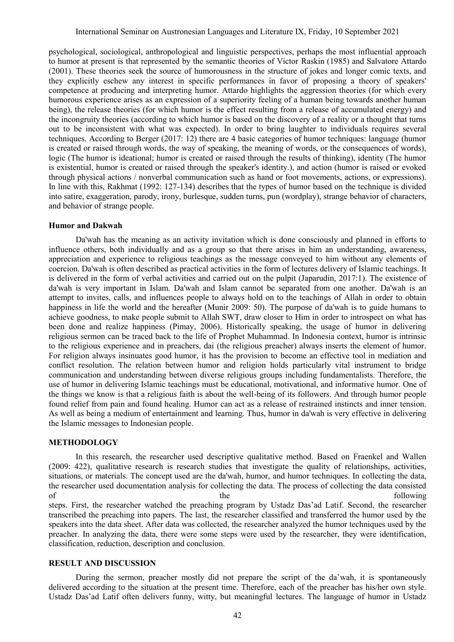psychological, sociological, anthropological and linguistic perspectives, perhaps the most influential approach to humor at present is that represented by the semantic theories of Victor Raskin (1985) and Salvatore Attardo (2001). These theories seek the source of humorousness in the structure of jokes and longer comic texts, and they explicitly eschew any interest in specific performances in favor of proposing a theory of speakers' competence at producing and interpreting humor. Attardo highlights the aggression theories (for which every humorous experience arises as an expression of a superiority feeling of a human being towards another human being), the release theories (for which humor is the effect resulting from a release of accumulated energy) and the incongruity theories (according to which humor is based on the discovery of a reality or a thought that turns out to be inconsistent with what was expected). In order to bring laughter to individuals requires several techniques. According to Berger (2017: 12) there are 4 basic categories of humor techniques: language (humor is created or raised through words, the way of speaking, the meaning of words, or the consequences of words), logic (The humor is ideational; humor is created or raised through the results of thinking), identity (The humor is existential, humor is created or raised through the speaker's identity.), and action (humor is raised or evoked through physical actions / nonverbal communication such as hand or foot movements, actions, or expressions). In line with this, Rakhmat (1992: 127-134) describes that the types of humor based on the technique is divided into satire, exaggeration, parody, irony, burlesque, sudden turns, pun (wordplay), strange behavior of characters, and behavior of strange people.

#### **Humor and Dakwah**

Da'wah has the meaning as an activity invitation which is done consciously and planned in efforts to influence others, both individually and as a group so that there arises in him an understanding, awareness, appreciation and experience to religious teachings as the message conveyed to him without any elements of coercion. Da'wah is often described as practical activities in the form of lectures delivery of Islamic teachings. It is delivered in the form of verbal activities and carried out on the pulpit (Japarudin, 2017:1). The existence of da'wah is very important in Islam. Da'wah and Islam cannot be separated from one another. Da'wah is an attempt to invites, calls, and influences people to always hold on to the teachings of Allah in order to obtain happiness in life the world and the hereafter (Munir 2009: 50). The purpose of da'wah is to guide humans to achieve goodness, to make people submit to Allah SWT, draw closer to Him in order to introspect on what has been done and realize happiness (Pimay, 2006). Historically speaking, the usage of humor in delivering religious sermon can be traced back to the life of Prophet Muhammad. In Indonesia context, humor is intrinsic to the religious experience and in preachers, dai (the religious preacher) always inserts the element of humor. For religion always insinuates good humor, it has the provision to become an effective tool in mediation and conflict resolution. The relation between humor and religion holds particularly vital instrument to bridge communication and understanding between diverse religious groups including fundamentalists. Therefore, the use of humor in delivering Islamic teachings must be educational, motivational, and informative humor. One of the things we know is that a religious faith is about the well-being of its followers. And through humor people found relief from pain and found healing. Humor can act as a release of restrained instincts and inner tension. As well as being a medium of entertainment and learning. Thus, humor in da'wah is very effective in delivering the Islamic messages to Indonesian people.

#### **METHODOLOGY**

In this research, the researcher used descriptive qualitative method. Based on Fraenkel and Wallen (2009: 422), qualitative research is research studies that investigate the quality of relationships, activities, situations, or materials. The concept used are the da'wah, humor, and humor techniques. In collecting the data, the researcher used documentation analysis for collecting the data. The process of collecting the data consisted of the the following steps. First, the researcher watched the preaching program by Ustadz Das'ad Latif. Second, the researcher transcribed the preaching into papers. The last, the researcher classified and transferred the humor used by the speakers into the data sheet. After data was collected, the researcher analyzed the humor techniques used by the preacher. In analyzing the data, there were some steps were used by the researcher, they were identification, classification, reduction, description and conclusion.

## **RESULT AND DISCUSSION**

During the sermon, preacher mostly did not prepare the script of the da'wah, it is spontaneously delivered according to the situation at the present time. Therefore, each of the preacher has his/her own style. Ustadz Das'ad Latif often delivers funny, witty, but meaningful lectures. The language of humor in Ustadz